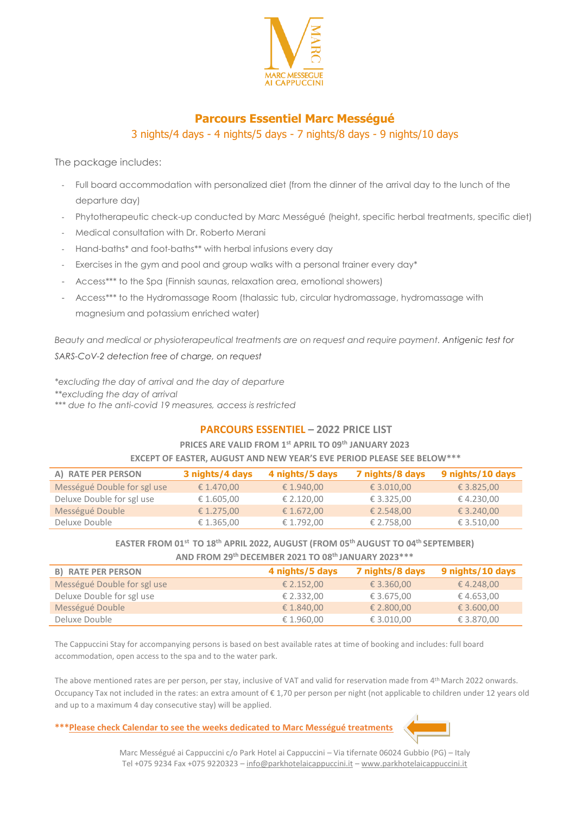

# **Parcours Essentiel Marc Mességué** 3 nights/4 days - 4 nights/5 days - 7 nights/8 days - 9 nights/10 days

The package includes:

- Full board accommodation with personalized diet (from the dinner of the arrival day to the lunch of the departure day)
- Phytotherapeutic check-up conducted by Marc Mességué (height, specific herbal treatments, specific diet)
- Medical consultation with Dr. Roberto Merani
- Hand-baths\* and foot-baths\*\* with herbal infusions every day
- Exercises in the gym and pool and group walks with a personal trainer every day\*
- Access\*\*\* to the Spa (Finnish saunas, relaxation area, emotional showers)
- Access\*\*\* to the Hydromassage Room (thalassic tub, circular hydromassage, hydromassage with magnesium and potassium enriched water)

*Beauty and medical or physioterapeutical treatments are on request and require payment. Antigenic test for SARS-CoV-2 detection free of charge, on request*

*\*excluding the day of arrival and the day of departure \*\*excluding the day of arrival \*\*\* due to the anti-covid 19 measures, access is restricted*

## **PARCOURS ESSENTIEL – 2022 PRICE LIST**

## **PRICES ARE VALID FROM 1st APRIL TO 09th JANUARY 2023**

#### **EXCEPT OF EASTER, AUGUST AND NEW YEAR'S EVE PERIOD PLEASE SEE BELOW\*\*\***

| A) RATE PER PERSON          | 3 nights/4 days | 4 nights/5 days | 7 nights/8 days | 9 nights/10 days |
|-----------------------------|-----------------|-----------------|-----------------|------------------|
| Mességué Double for sgl use | € 1.470.00      | € 1.940.00      | € 3.010,00      | € 3.825,00       |
| Deluxe Double for sgl use   | € 1.605,00      | € 2.120,00      | € 3.325.00      | € 4.230,00       |
| Mességué Double             | € 1.275,00      | € 1.672.00      | € 2.548.00      | € 3.240,00       |
| Deluxe Double               | € 1.365,00      | € 1.792,00      | € 2.758,00      | € 3.510,00       |

# **EASTER FROM 01st TO 18th APRIL 2022, AUGUST (FROM 05th AUGUST TO 04th SEPTEMBER)**

| AND FROM 29th DECEMBER 2021 TO 08th JANUARY 2023 *** |                 |                 |                  |  |
|------------------------------------------------------|-----------------|-----------------|------------------|--|
| <b>B) RATE PER PERSON</b>                            | 4 nights/5 days | 7 nights/8 days | 9 nights/10 days |  |
| Mességué Double for sgl use                          | € 2.152,00      | € 3.360,00      | € 4.248,00       |  |
| Deluxe Double for sgl use                            | € 2.332,00      | € 3.675,00      | €4.653,00        |  |
| Mességué Double                                      | € 1.840,00      | € 2.800,00      | € 3.600,00       |  |
| Deluxe Double                                        | € 1.960,00      | € 3.010,00      | € 3.870,00       |  |

The Cappuccini Stay for accompanying persons is based on best available rates at time of booking and includes: full board accommodation, open access to the spa and to the water park.

The above mentioned rates are per person, per stay, inclusive of VAT and valid for reservation made from 4<sup>th</sup> March 2022 onwards. Occupancy Tax not included in the rates: an extra amount of € 1,70 per person per night (not applicable to children under 12 years old and up to a maximum 4 day consecutive stay) will be applied.

### **\*\*\*Please check Calendar to see the weeks dedicated to Marc Mességué treatments**



Marc Mességué ai Cappuccini c/o Park Hotel ai Cappuccini – Via tifernate 06024 Gubbio (PG) – Italy Tel +075 9234 Fax +075 9220323 – [info@parkhotelaicappuccini.it](mailto:info@parkhotelaicappuccini.it) – [www.parkhotelaicappuccini.it](http://www.parkhotelaicappuccini.it/)